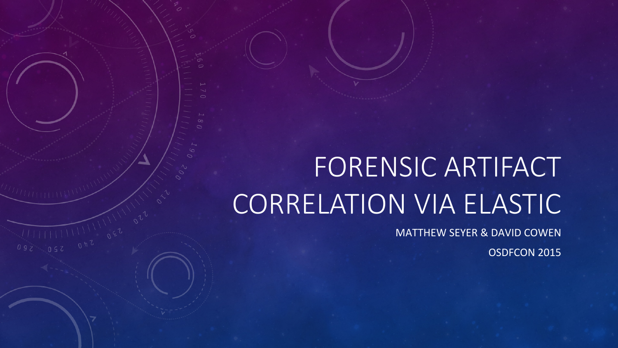# FORENSIC ARTIFACT CORRELATION VIA ELASTIC

 $\frac{1}{10}$ <br> $\frac{1}{10}$ <br> $\frac{1}{10}$ <br> $\frac{1}{10}$ 

**MATTHEW SEYER & DAVID COWEN** 

OSDFCON 2015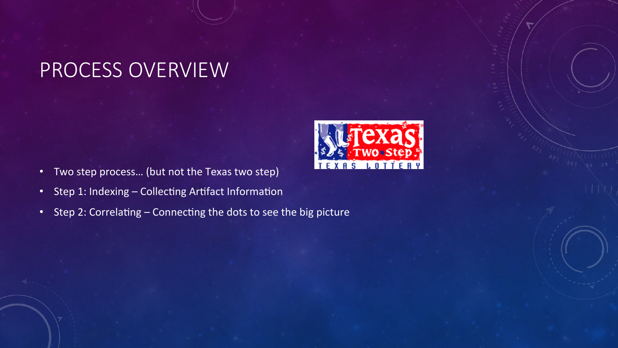#### PROCESS OVERVIEW

- Two step process... (but not the Texas two step)
- Step 1: Indexing Collecting Artifact Information
- Step 2: Correlating Connecting the dots to see the big picture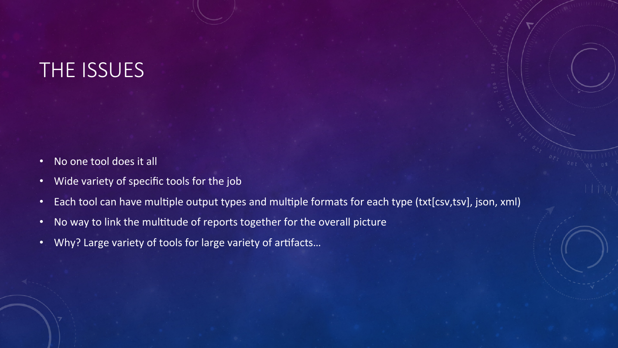#### THE ISSUES

- No one tool does it all
- Wide variety of specific tools for the job
- Each tool can have multiple output types and multiple formats for each type (txt[csv,tsv], json, xml)
- No way to link the multitude of reports together for the overall picture
- Why? Large variety of tools for large variety of artifacts...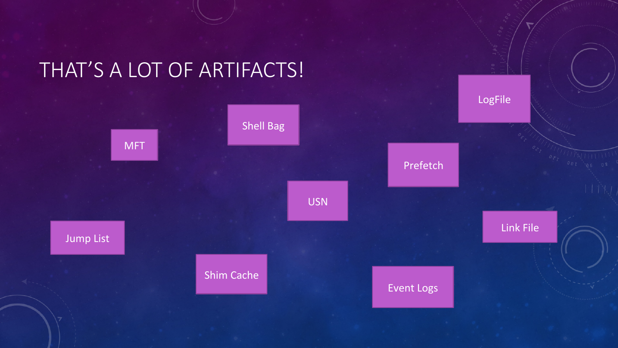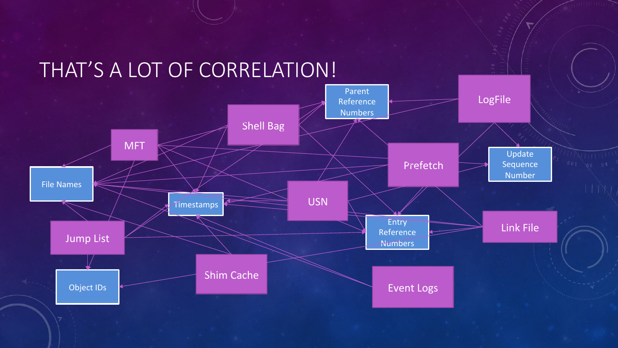#### THAT'S A LOT OF CORRELATION!

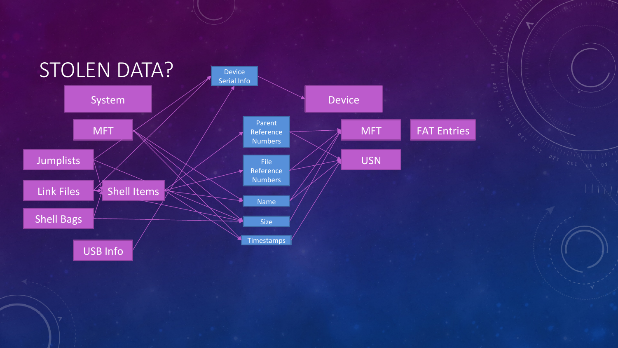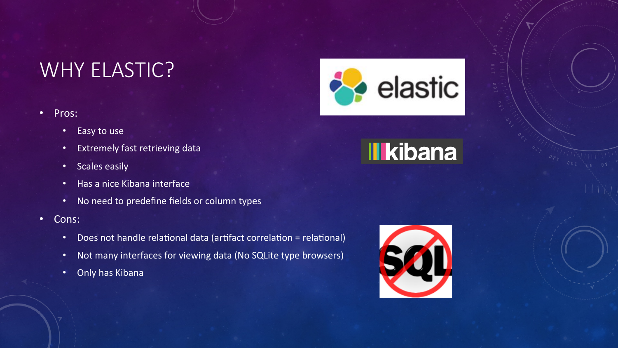#### WHY ELASTIC?

#### • Pros:

- Easy to use
- Extremely fast retrieving data
- Scales easily
- Has a nice Kibana interface
- No need to predefine fields or column types
- Cons:
	- Does not handle relational data (artifact correlation = relational)
	- Not many interfaces for viewing data (No SQLite type browsers)
	- Only has Kibana





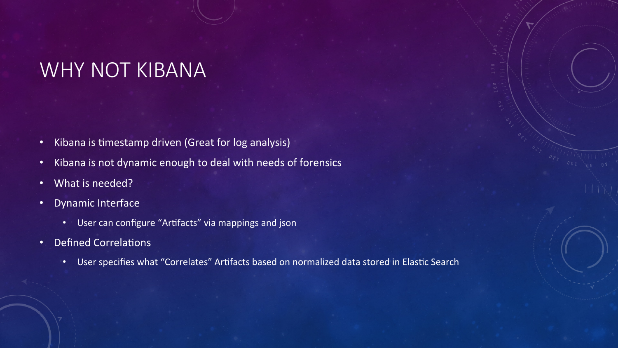#### WHY NOT KIBANA

- Kibana is timestamp driven (Great for log analysis)
- Kibana is not dynamic enough to deal with needs of forensics
- What is needed?
- Dynamic Interface
	- User can configure "Artifacts" via mappings and json
- Defined Correlations
	- User specifies what "Correlates" Artifacts based on normalized data stored in Elastic Search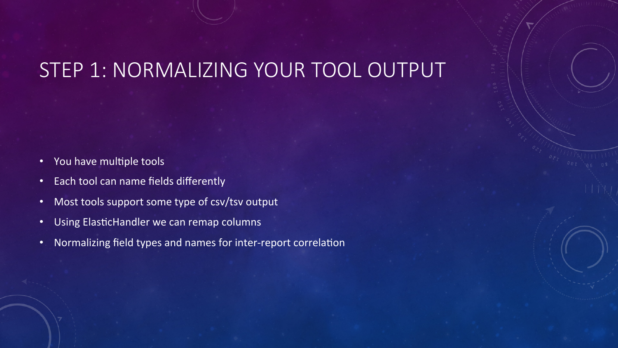#### STEP 1: NORMALIZING YOUR TOOL OUTPUT

- You have multiple tools
- Each tool can name fields differently
- Most tools support some type of csv/tsv output
- Using ElasticHandler we can remap columns
- Normalizing field types and names for inter-report correlation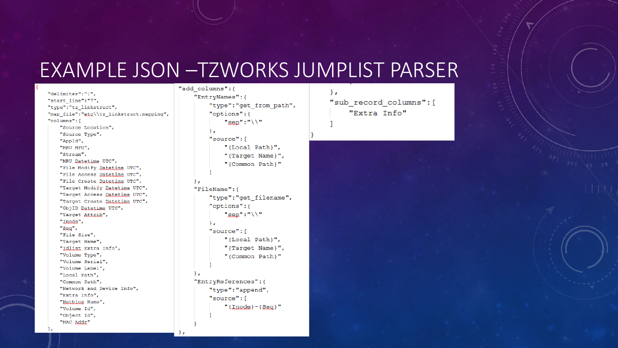#### EXAMPLE JSON –TZWORKS JUMPLIST PARSER

"delimiter":"|", "start line":"7", "type":"tz linkstruct", "map file": "etc\\tz linkstruct.mapping", "columns": [ "Source Location", "Source Type", "AppId", "MRU MFU", "Stream", "MRU Datetime UTC", "File Modify Datetime UTC", "File Access Datetime UTC", "File Create Datetime UTC", "Target Modify Datetime UTC", "Target Access Datetime UTC", "Target Create Datetime UTC", "ObjID Datetime UTC", "Target Attrik", "Inode", "Sea", "File Size", "Target Name", "Idlist Extra Info", "Volume Type", "Volume Serial", "Volume Label", "Local Path", "Common Path", "Network and Device Info", "Extra Info", "Netbios Name", "Volume Id", "Object Id", "MAC Addr"

```
"add_columns":{
    "EntryNames": {
         "type": "get from path",
         "options":{
              "\text{sep}":"\setminus"
         \mathcal{L}"source": [
              "{Local Path}",
              "{Target Name}",
              "{Common Path}"
    \mathcal{L}"FileName":{
         "type":"get filename",
         "options":{
              "sep":"\setminus"
         \mathcal{L}"source": [
              "{Local Path}",
              "{Target Name}",
              "{Common Path}"
    Υ,
    "EntryReferences":{
         "type": "append",
         "source": [
              "{Inode}-{Sec}
```
λ, "sub record columns": [ "Extra Info"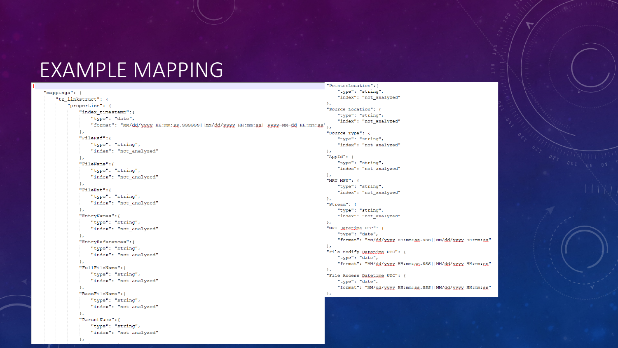#### EXAMPLE MAPPING

| "mappings": {                                                                      | "type": "string",                       |
|------------------------------------------------------------------------------------|-----------------------------------------|
| "tz_linkstruct": {                                                                 | "index": "not_analyzed"                 |
| "properties": {                                                                    | Ъ.                                      |
| "index_timestamp":{                                                                | "Source Location": {                    |
| "type": "date",                                                                    | "type": "string",                       |
| "format": "MM/dd/yxyy HH:mm:ss.SSSSSS  MM/dd/yxyy HH:mm:ss  yxyy-MM-dd HH:mm:ss'}, | "index": "not_analyzed"                 |
|                                                                                    |                                         |
| $\mathbf{r}$                                                                       | "Source Type": {                        |
| "FileRef":{                                                                        | "type": "string",                       |
| "type": "string",                                                                  | "index": "not_analyzed"                 |
| "index": "not_analyzed"                                                            | Ъ.                                      |
| $\mathcal{F}$                                                                      | "AppId": {                              |
| "FileName":{                                                                       | "type": "string",                       |
| "type": "string",                                                                  | "index": "not_analyzed"                 |
| "index": "not_analyzed"                                                            | $\mathbf{r}$                            |
| $\mathbf{r}$                                                                       | "MRU MFU": {                            |
| "FileExt":{                                                                        | "type": "string",                       |
| "type": "string",                                                                  | "index": "not_analyzed"                 |
|                                                                                    | $\mathbf{F}$                            |
| "index": "not_analyzed"                                                            | "Stream": {                             |
| λ,                                                                                 | "type": "string",                       |
| "EntryNames": {                                                                    | "index": " $not\_analyzed"$             |
| "type": "string",                                                                  | Ъ.                                      |
| "index": "not_analyzed"                                                            | "MRU Datetime UTC": {                   |
| Ъ,                                                                                 | "type": "date",                         |
| "EntryReferences": {                                                               | "format": "MM/dd/yyyy HH:mm:ss.SSS  MM/ |
| "type": "string",                                                                  | Ъ.                                      |
| "index": "not_analyzed"                                                            | "File Modify Datetime UTC": {           |
| $\mathcal{F}$                                                                      | "type": "date",                         |
| "FullFileName": {                                                                  | "format": "MM/dd/xxxx HH:mm:ss.SSS  MM/ |
| "type": "string",                                                                  | Ъ.                                      |
|                                                                                    | "File Access Datetime UTC": {           |
| "index": "not_analyzed"                                                            | "type": "date",                         |
| $\mathbf{F}$                                                                       | "format": "MM/dd/xxxx HH:mm:ss.SSS  MM/ |
| "BaseFileName": {                                                                  | Ъ.                                      |
| "type": "string",                                                                  |                                         |
| "index": "not_analyzed"                                                            |                                         |
| Ъ,                                                                                 |                                         |
| "ParentName": {                                                                    |                                         |
| "type": "string",                                                                  |                                         |
| "index": "not_analyzed"                                                            |                                         |
| λ,                                                                                 |                                         |
|                                                                                    |                                         |

#### "PointerLocation": {

```
"dd/xxxx HH:mm:ss"
"gd/yyyy HH:mm:ss"
"sa'xxxx HH:mm:sa
```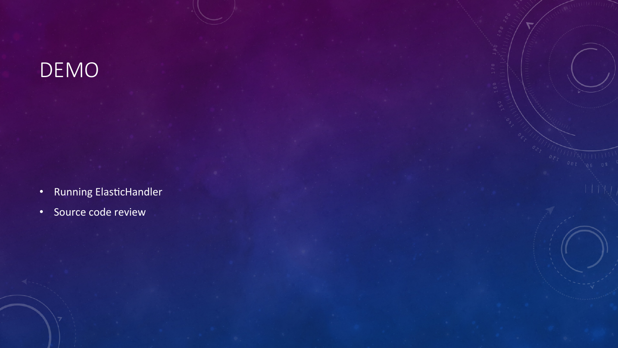## DEMO

- Running ElasticHandler
- Source code review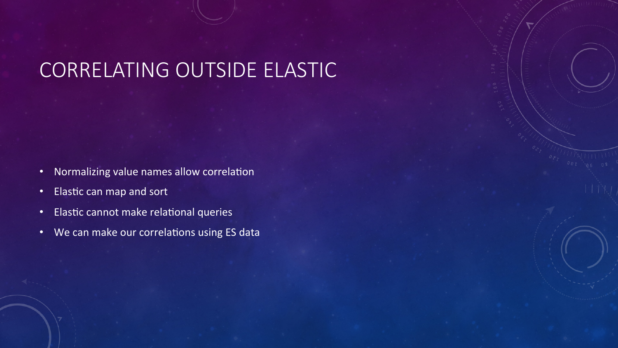#### CORRELATING OUTSIDE ELASTIC

- Normalizing value names allow correlation
- Elastic can map and sort
- Elastic cannot make relational queries
- We can make our correlations using ES data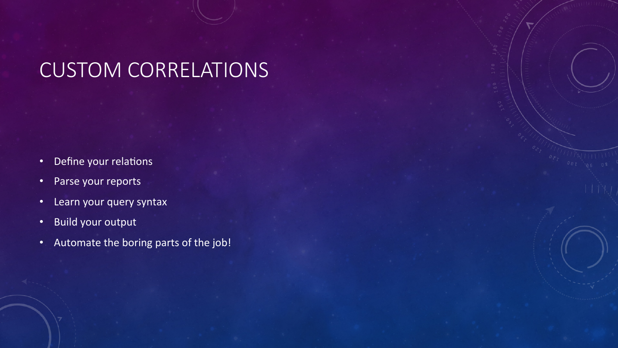#### CUSTOM CORRELATIONS

- Define your relations
- Parse your reports
- Learn your query syntax
- Build your output
- Automate the boring parts of the job!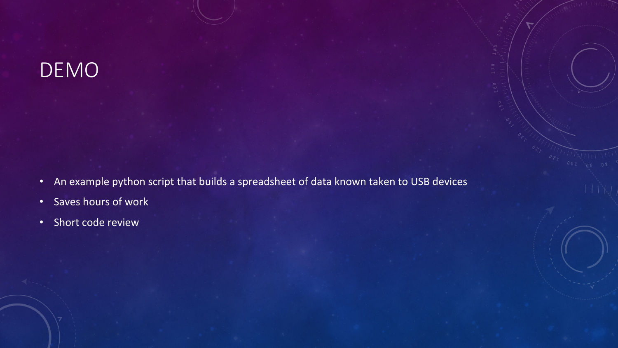#### DEMO

- An example python script that builds a spreadsheet of data known taken to USB devices
- Saves hours of work
- Short code review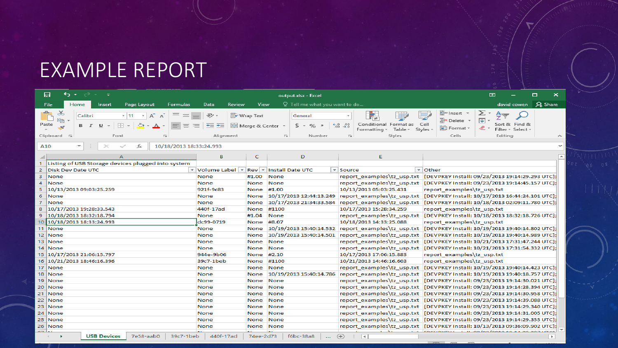#### EXAMPLE REPORT

|                                                                                              | 日<br>↽<br>$=$                                                                                                                                                                                    |                                                          |                                 | output.xlsx - Excel                                                                               |                                                                                                                                | ▭<br>困<br>$\pmb{\times}$                                                                                                                           |  |  |
|----------------------------------------------------------------------------------------------|--------------------------------------------------------------------------------------------------------------------------------------------------------------------------------------------------|----------------------------------------------------------|---------------------------------|---------------------------------------------------------------------------------------------------|--------------------------------------------------------------------------------------------------------------------------------|----------------------------------------------------------------------------------------------------------------------------------------------------|--|--|
|                                                                                              | File<br>Home<br>Page Layout<br>Insert<br>Formulas                                                                                                                                                | Data<br>Review                                           | View                            | Q Tell me what you want to do                                                                     |                                                                                                                                | Q Share<br>david cowen                                                                                                                             |  |  |
| ركب<br>Paste                                                                                 | ಕ<br>Calibri<br>$-11$<br>$\overline{A}$<br>Ee -<br>$\frac{100}{100}$<br>$\sqcup$<br>B I<br>$\overline{\phantom{a}}$<br>$\mathbf{v}$<br>Clipboard 5<br>Font<br>$\overline{\mathbb{F}_\mathbb{R}}$ | $\rightarrow \equiv$<br>Alignment                        | 导 Wrap Text<br>国 Merge & Center | General<br>$\frac{60}{100}$<br>$s -$<br>%<br>$\overline{z}$<br>$\overline{\Gamma_{2d}}$<br>Number | Cell<br>Conditional Format as<br>$\frac{100}{20}$<br>Formatting ~<br>Table ~<br>Styles -<br>Styles<br>$\overline{\Gamma_{2d}}$ | 器 Insert *<br>∑ -<br>$A_{\nabla}$<br>$\overline{\Psi}$ -<br><b>EX</b> Delete<br>Sort & Find &<br>Format ~<br>Filter ~ Select ~<br>Cells<br>Editing |  |  |
| $\overline{\phantom{a}}$<br>$\times$<br>fx<br>10/18/2013 18:33:24.993<br>$\checkmark$<br>A10 |                                                                                                                                                                                                  |                                                          |                                 |                                                                                                   |                                                                                                                                |                                                                                                                                                    |  |  |
|                                                                                              | A                                                                                                                                                                                                | B                                                        | C.                              | D                                                                                                 | E                                                                                                                              | ≖                                                                                                                                                  |  |  |
| 1                                                                                            | Listing of USB Storage devices plugged into system                                                                                                                                               |                                                          |                                 |                                                                                                   |                                                                                                                                |                                                                                                                                                    |  |  |
| $\overline{2}$                                                                               | Disk Dev Date UTC                                                                                                                                                                                | $\blacktriangleright$ Volume Label $\blacktriangleright$ | $Rev =$                         | <b>Install Date UTC</b>                                                                           | $\overline{\phantom{a}}$ Other<br>$\mathbf{v}$ Source                                                                          |                                                                                                                                                    |  |  |
| $\mathbf{B}$                                                                                 | None                                                                                                                                                                                             | None                                                     | #1.00                           | <b>None</b>                                                                                       | report examples\tz usp.txt                                                                                                     | [DEVPKEY Install: 09/23/2013 19:14:29.293 UTC];                                                                                                    |  |  |
| 4                                                                                            | None                                                                                                                                                                                             | <b>None</b>                                              | <b>None</b>                     | <b>None</b>                                                                                       | report examples\tz usp.txt                                                                                                     | [DEVPKEY Install: 09/23/2013 19:14:45.157 UTC];                                                                                                    |  |  |
| 5                                                                                            | 10/13/2013 09:03:25.259                                                                                                                                                                          | 921f-9c83                                                | <b>None</b>                     | #1.00                                                                                             | 10/13/2013 05:03:25.431                                                                                                        | report examples\tz usp.txt                                                                                                                         |  |  |
| 6                                                                                            | None                                                                                                                                                                                             | <b>None</b>                                              | <b>None</b>                     | 10/17/2013 12:44:13.249                                                                           | report examples\tz usp.txt                                                                                                     | [DEVPKEY Install: 10/17/2013 16:44:24.101 UTC];                                                                                                    |  |  |
| $\overline{7}$                                                                               | None                                                                                                                                                                                             | <b>None</b>                                              | None                            | 10/17/2013 21:34:33.584                                                                           | report examples\tz usp.txt                                                                                                     | [DEVPKEY Install: 10/18/2013 02:09:11.780 UTC];                                                                                                    |  |  |
| 8                                                                                            | 10/17/2013 19:28:33.543                                                                                                                                                                          | 440f-17ad                                                | None                            | #1100                                                                                             | 10/17/2013 15:28:34.259                                                                                                        | report examples\tz usp.txt                                                                                                                         |  |  |
| 9                                                                                            | 10/18/2013 18:32:18.794                                                                                                                                                                          | None                                                     | #1.04                           | None                                                                                              |                                                                                                                                | report_examples\tz_usp.txt  [DEVPKEY Install: 10/18/2013 18:32:18.726 UTC];                                                                        |  |  |
| 10 <sup>°</sup>                                                                              | 10/18/2013 18:33:24.993                                                                                                                                                                          | dc99-0719                                                | None                            | #8.07                                                                                             | 10/18/2013 14:33:25.088                                                                                                        | report examples\tz usp.txt                                                                                                                         |  |  |
|                                                                                              | 11 None                                                                                                                                                                                          | None                                                     | None                            | 10/19/2013 15:40:14.532                                                                           |                                                                                                                                | report examples\tz usp.txt [DEVPKEY Install: 10/19/2013 19:40:14.802 UTC];                                                                         |  |  |
|                                                                                              | 12 None                                                                                                                                                                                          | <b>None</b>                                              | <b>None</b>                     | 10/19/2013 15:40:14.501                                                                           | report examples\tz usp.txt                                                                                                     | [DEVPKEY Install: 10/19/2013 19:40:14.989 UTC];                                                                                                    |  |  |
|                                                                                              | 13 None                                                                                                                                                                                          | None                                                     | <b>None</b>                     | <b>None</b>                                                                                       | report examples\tz usp.txt                                                                                                     | [DEVPKEY Install: 10/21/2013 17:31:47.244 UTC];                                                                                                    |  |  |
|                                                                                              | 14 None                                                                                                                                                                                          | None                                                     | None                            | <b>None</b>                                                                                       |                                                                                                                                | report examples\tz usp.txt [DEVPKEY Install: 10/21/2013 17:31:54.332 UTC];                                                                         |  |  |
|                                                                                              | 15 10/17/2013 21:06:15.797                                                                                                                                                                       | 944e-9b06                                                | None                            | #2.10                                                                                             | 10/17/2013 17:06:15.883                                                                                                        | report examples\tz usp.txt                                                                                                                         |  |  |
|                                                                                              | 16 10/21/2013 18:46:16.396                                                                                                                                                                       | 39c7-1beb                                                | None                            | #1100                                                                                             | 10/21/2013 14:46:16.603                                                                                                        | report examples\tz usp.txt                                                                                                                         |  |  |
|                                                                                              | 17 None                                                                                                                                                                                          | None                                                     | None                            | None                                                                                              | report_examples\tz_usp.txt                                                                                                     | [DEVPKEY Install: 10/19/2013 19:40:14.423 UTC];                                                                                                    |  |  |
|                                                                                              | 18 None                                                                                                                                                                                          | None                                                     | None                            |                                                                                                   |                                                                                                                                | 10/19/2013 15:40:14.786 report examples\tz usp.txt [DEVPKEY Install: 10/19/2013 19:40:18.757 UTC];                                                 |  |  |
|                                                                                              | 19 None                                                                                                                                                                                          | None                                                     | None                            | <b>None</b>                                                                                       |                                                                                                                                | report examples\tz usp.txt [DEVPKEY Install: 09/23/2013 19:14:30.021 UTC];                                                                         |  |  |
|                                                                                              | 20 None                                                                                                                                                                                          | <b>None</b>                                              | <b>None</b>                     | <b>None</b>                                                                                       |                                                                                                                                | report examples\tz usp.txt [DEVPKEY Install: 09/23/2013 19:14:28.394 UTC];                                                                         |  |  |
|                                                                                              | 21 None                                                                                                                                                                                          | <b>None</b>                                              | <b>None</b>                     | None                                                                                              |                                                                                                                                | report_examples\tz_usp.txt  [DEVPKEY Install: 09/23/2013 19:14:30.958 UTC];                                                                        |  |  |
|                                                                                              | 22 None                                                                                                                                                                                          | None                                                     | <b>None</b>                     | <b>None</b>                                                                                       | report examples\tz usp.txt                                                                                                     | [DEVPKEY Install: 09/23/2013 19:14:39.088 UTC];                                                                                                    |  |  |
|                                                                                              | 23 None                                                                                                                                                                                          | None                                                     | None                            | None                                                                                              | report examples\tz usp.txt                                                                                                     | [DEVPKEY Install: 09/23/2013 19:14:29.340 UTC];                                                                                                    |  |  |
|                                                                                              | 24 None                                                                                                                                                                                          | None                                                     | None                            | None                                                                                              |                                                                                                                                | report examples\tz usp.txt [DEVPKEY Install: 09/23/2013 19:14:31.005 UTC];                                                                         |  |  |
|                                                                                              | 25 None                                                                                                                                                                                          | None                                                     | None                            | <b>None</b>                                                                                       |                                                                                                                                | report examples\tz usp.txt [DEVPKEY Install: 09/23/2013 19:14:29.355 UTC];                                                                         |  |  |
|                                                                                              | 26 None                                                                                                                                                                                          | None                                                     | None                            | None                                                                                              |                                                                                                                                | report examples\tz usp.txt [DEVPKEY Install: 10/13/2013 09:36:09.902 UTC];                                                                         |  |  |
| <u>.</u>                                                                                     | <b>USB Devices</b><br>7e58-aab0<br>39c7-1beb<br>×                                                                                                                                                | 440f-17ad                                                | 74ee-2d73                       | f6bc-38a8<br>$\sim$ $\sim$                                                                        | $\oplus$<br>$\left  \cdot \right $                                                                                             | $\rightarrow$                                                                                                                                      |  |  |